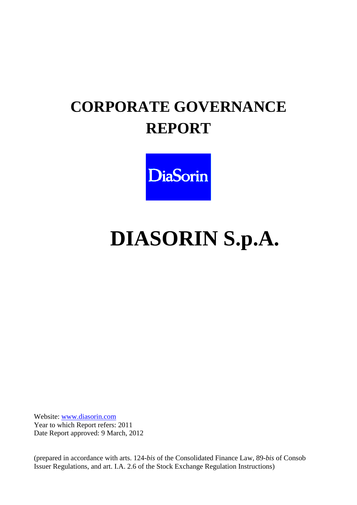# **CORPORATE GOVERNANCE REPORT**



# **DIASORIN S.p.A.**

Website: www.diasorin.com Year to which Report refers: 2011 Date Report approved: 9 March, 2012

(prepared in accordance with arts. 124-*bis* of the Consolidated Finance Law, 89-*bis* of Consob Issuer Regulations, and art. I.A. 2.6 of the Stock Exchange Regulation Instructions)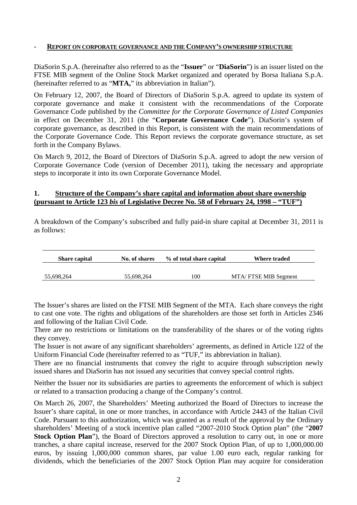#### - **REPORT ON CORPORATE GOVERNANCE AND THE COMPANY'S OWNERSHIP STRUCTURE**

DiaSorin S.p.A. (hereinafter also referred to as the "**Issuer**" or "**DiaSorin**") is an issuer listed on the FTSE MIB segment of the Online Stock Market organized and operated by Borsa Italiana S.p.A. (hereinafter referred to as "**MTA,**" its abbreviation in Italian").

On February 12, 2007, the Board of Directors of DiaSorin S.p.A. agreed to update its system of corporate governance and make it consistent with the recommendations of the Corporate Governance Code published by the *Committee for the Corporate Governance of Listed Companies* in effect on December 31, 2011 (the "**Corporate Governance Code**"). DiaSorin's system of corporate governance, as described in this Report, is consistent with the main recommendations of the Corporate Governance Code. This Report reviews the corporate governance structure, as set forth in the Company Bylaws.

On March 9, 2012, the Board of Directors of DiaSorin S.p.A. agreed to adopt the new version of Corporate Governance Code (version of December 2011), taking the necessary and appropriate steps to incorporate it into its own Corporate Governance Model.

#### **1. Structure of the Company's share capital and information about share ownership (pursuant to Article 123** *bis* **of Legislative Decree No. 58 of February 24, 1998 – "TUF")**

A breakdown of the Company's subscribed and fully paid-in share capital at December 31, 2011 is as follows:

| <b>Share capital</b> | No. of shares | % of total share capital | Where traded         |
|----------------------|---------------|--------------------------|----------------------|
|                      |               |                          |                      |
| 55,698,264           | 55.698.264    | 100                      | MTA/FTSE MIB Segment |

The Issuer's shares are listed on the FTSE MIB Segment of the MTA. Each share conveys the right to cast one vote. The rights and obligations of the shareholders are those set forth in Articles 2346 and following of the Italian Civil Code.

There are no restrictions or limitations on the transferability of the shares or of the voting rights they convey.

The Issuer is not aware of any significant shareholders' agreements, as defined in Article 122 of the Uniform Financial Code (hereinafter referred to as "TUF," its abbreviation in Italian).

There are no financial instruments that convey the right to acquire through subscription newly issued shares and DiaSorin has not issued any securities that convey special control rights.

Neither the Issuer nor its subsidiaries are parties to agreements the enforcement of which is subject or related to a transaction producing a change of the Company's control.

On March 26, 2007, the Shareholders' Meeting authorized the Board of Directors to increase the Issuer's share capital, in one or more tranches, in accordance with Article 2443 of the Italian Civil Code. Pursuant to this authorization, which was granted as a result of the approval by the Ordinary shareholders' Meeting of a stock incentive plan called "2007-2010 Stock Option plan" (the "**2007 Stock Option Plan**"), the Board of Directors approved a resolution to carry out, in one or more tranches, a share capital increase, reserved for the 2007 Stock Option Plan, of up to 1,000,000.00 euros, by issuing 1,000,000 common shares, par value 1.00 euro each, regular ranking for dividends, which the beneficiaries of the 2007 Stock Option Plan may acquire for consideration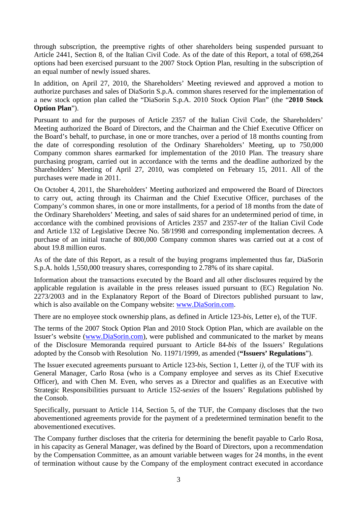through subscription, the preemptive rights of other shareholders being suspended pursuant to Article 2441, Section 8, of the Italian Civil Code. As of the date of this Report, a total of 698,264 options had been exercised pursuant to the 2007 Stock Option Plan, resulting in the subscription of an equal number of newly issued shares.

In addition, on April 27, 2010, the Shareholders' Meeting reviewed and approved a motion to authorize purchases and sales of DiaSorin S.p.A. common shares reserved for the implementation of a new stock option plan called the "DiaSorin S.p.A. 2010 Stock Option Plan" (the "**2010 Stock Option Plan**").

Pursuant to and for the purposes of Article 2357 of the Italian Civil Code, the Shareholders' Meeting authorized the Board of Directors, and the Chairman and the Chief Executive Officer on the Board's behalf, to purchase, in one or more tranches, over a period of 18 months counting from the date of corresponding resolution of the Ordinary Shareholders' Meeting, up to 750,000 Company common shares earmarked for implementation of the 2010 Plan. The treasury share purchasing program, carried out in accordance with the terms and the deadline authorized by the Shareholders' Meeting of April 27, 2010, was completed on February 15, 2011. All of the purchases were made in 2011.

On October 4, 2011, the Shareholders' Meeting authorized and empowered the Board of Directors to carry out, acting through its Chairman and the Chief Executive Officer, purchases of the Company's common shares, in one or more installments, for a period of 18 months from the date of the Ordinary Shareholders' Meeting, and sales of said shares for an undetermined period of time, in accordance with the combined provisions of Articles 2357 and 2357-*ter* of the Italian Civil Code and Article 132 of Legislative Decree No. 58/1998 and corresponding implementation decrees. A purchase of an initial tranche of 800,000 Company common shares was carried out at a cost of about 19.8 million euros.

As of the date of this Report, as a result of the buying programs implemented thus far, DiaSorin S.p.A. holds 1,550,000 treasury shares, corresponding to 2.78% of its share capital.

Information about the transactions executed by the Board and all other disclosures required by the applicable regulation is available in the press releases issued pursuant to (EC) Regulation No. 2273/2003 and in the Explanatory Report of the Board of Directors published pursuant to law, which is also available on the Company website: www.DiaSorin.com.

There are no employee stock ownership plans, as defined in Article 123-*bis*, Letter e), of the TUF.

The terms of the 2007 Stock Option Plan and 2010 Stock Option Plan, which are available on the Issuer's website (www.DiaSorin.com), were published and communicated to the market by means of the Disclosure Memoranda required pursuant to Article 84-*bis* of the Issuers' Regulations adopted by the Consob with Resolution No. 11971/1999, as amended (**"Issuers' Regulations**").

The Issuer executed agreements pursuant to Article 123*-bis*, Section 1, Letter *i),* of the TUF with its General Manager, Carlo Rosa (who is a Company employee and serves as its Chief Executive Officer), and with Chen M. Even, who serves as a Director and qualifies as an Executive with Strategic Responsibilities pursuant to Article 152-*sexies* of the Issuers' Regulations published by the Consob.

Specifically, pursuant to Article 114, Section 5, of the TUF, the Company discloses that the two abovementioned agreements provide for the payment of a predetermined termination benefit to the abovementioned executives.

The Company further discloses that the criteria for determining the benefit payable to Carlo Rosa, in his capacity as General Manager, was defined by the Board of Directors, upon a recommendation by the Compensation Committee, as an amount variable between wages for 24 months, in the event of termination without cause by the Company of the employment contract executed in accordance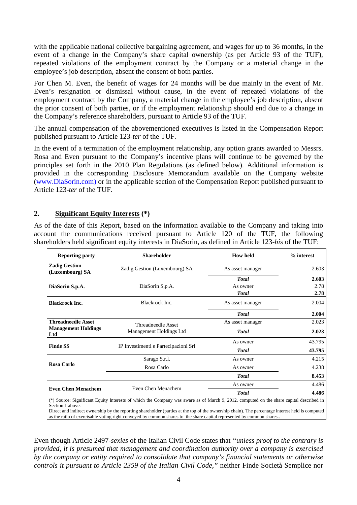with the applicable national collective bargaining agreement, and wages for up to 36 months, in the event of a change in the Company's share capital ownership (as per Article 93 of the TUF), repeated violations of the employment contract by the Company or a material change in the employee's job description, absent the consent of both parties.

For Chen M. Even, the benefit of wages for 24 months will be due mainly in the event of Mr. Even's resignation or dismissal without cause, in the event of repeated violations of the employment contract by the Company, a material change in the employee's job description, absent the prior consent of both parties, or if the employment relationship should end due to a change in the Company's reference shareholders, pursuant to Article 93 of the TUF.

The annual compensation of the abovementioned executives is listed in the Compensation Report published pursuant to Article 123-*ter* of the TUF.

In the event of a termination of the employment relationship, any option grants awarded to Messrs. Rosa and Even pursuant to the Company's incentive plans will continue to be governed by the principles set forth in the 2010 Plan Regulations (as defined below). Additional information is provided in the corresponding Disclosure Memorandum available on the Company website (www.DiaSorin.com) or in the applicable section of the Compensation Report published pursuant to Article 123-*ter* of the TUF.

#### **2. Significant Equity Interests (\*)**

As of the date of this Report, based on the information available to the Company and taking into account the communications received pursuant to Article 120 of the TUF, the following shareholders held significant equity interests in DiaSorin, as defined in Article 123-*bis* of the TUF:

| <b>Reporting party</b>                  | <b>Shareholder</b>                                                                                                                                                                                                                                                                          | <b>How held</b>  | % interest |
|-----------------------------------------|---------------------------------------------------------------------------------------------------------------------------------------------------------------------------------------------------------------------------------------------------------------------------------------------|------------------|------------|
| <b>Zadig Gestion</b><br>(Luxembourg) SA | Zadig Gestion (Luxembourg) SA                                                                                                                                                                                                                                                               | As asset manager | 2.603      |
|                                         |                                                                                                                                                                                                                                                                                             | <b>Total</b>     | 2.603      |
| DiaSorin S.p.A.                         | DiaSorin S,p.A.                                                                                                                                                                                                                                                                             | As owner         | 2.78       |
|                                         |                                                                                                                                                                                                                                                                                             | <b>T</b> otal    | 2.78       |
| <b>Blackrock Inc.</b>                   | Blackrock Inc.                                                                                                                                                                                                                                                                              | As asset manager | 2.004      |
|                                         |                                                                                                                                                                                                                                                                                             | <b>Total</b>     | 2.004      |
| <b>Threadneedle Asset</b>               | Threadneedle Asset                                                                                                                                                                                                                                                                          | As asset manager | 2.023      |
| <b>Management Holdings</b><br>Ltd       | Management Holdings Ltd                                                                                                                                                                                                                                                                     | <b>T</b> otal    | 2.023      |
|                                         |                                                                                                                                                                                                                                                                                             | As owner         | 43.795     |
| <b>Finde SS</b>                         | IP Investimenti e Partecipazioni Srl                                                                                                                                                                                                                                                        | <b>T</b> otal    | 43.795     |
|                                         | Sarago S.r.l.                                                                                                                                                                                                                                                                               | As owner         | 4.215      |
| <b>Rosa Carlo</b>                       | Rosa Carlo                                                                                                                                                                                                                                                                                  | As owner         | 4.238      |
|                                         |                                                                                                                                                                                                                                                                                             | <b>Total</b>     | 8.453      |
|                                         |                                                                                                                                                                                                                                                                                             | As owner         | 4.486      |
| <b>Even Chen Menachem</b>               | Even Chen Menachem                                                                                                                                                                                                                                                                          | <b>T</b> otal    | 4.486      |
| Section 1 above.                        | (*) Source: Significant Equity Interests of which the Company was aware as of March 9, 2012, computed on the share capital described in<br>Direct and indirect ownership by the reporting shareholder (parties at the top of the ownership chain). The percentage interest held is computed |                  |            |

as the ratio of exercisable voting right conveyed by common shares to the share capital represented by common shares..

Even though Article 2497-*sexies* of the Italian Civil Code states that *"unless proof to the contrary is provided, it is presumed that management and coordination authority over a company is exercised by the company or entity required to consolidate that company's financial statements or otherwise controls it pursuant to Article 2359 of the Italian Civil Code,"* neither Finde Società Semplice nor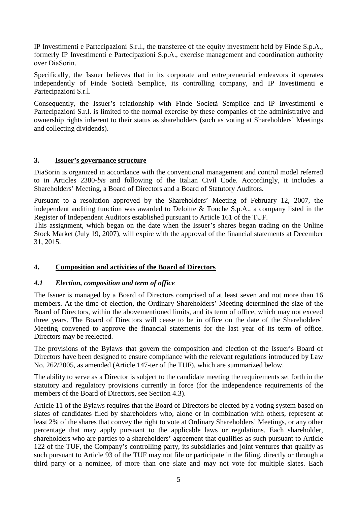IP Investimenti e Partecipazioni S.r.l., the transferee of the equity investment held by Finde S.p.A., formerly IP Investimenti e Partecipazioni S.p.A., exercise management and coordination authority over DiaSorin.

Specifically, the Issuer believes that in its corporate and entrepreneurial endeavors it operates independently of Finde Società Semplice, its controlling company, and IP Investimenti e Partecipazioni S.r.l.

Consequently, the Issuer's relationship with Finde Società Semplice and IP Investimenti e Partecipazioni S.r.l. is limited to the normal exercise by these companies of the administrative and ownership rights inherent to their status as shareholders (such as voting at Shareholders' Meetings and collecting dividends).

#### **3. Issuer's governance structure**

DiaSorin is organized in accordance with the conventional management and control model referred to in Articles 2380-*bis* and following of the Italian Civil Code. Accordingly, it includes a Shareholders' Meeting, a Board of Directors and a Board of Statutory Auditors.

Pursuant to a resolution approved by the Shareholders' Meeting of February 12, 2007, the independent auditing function was awarded to Deloitte & Touche S.p.A., a company listed in the Register of Independent Auditors established pursuant to Article 161 of the TUF.

This assignment, which began on the date when the Issuer's shares began trading on the Online Stock Market (July 19, 2007), will expire with the approval of the financial statements at December 31, 2015.

#### **4. Composition and activities of the Board of Directors**

#### *4.1 Election, composition and term of office*

The Issuer is managed by a Board of Directors comprised of at least seven and not more than 16 members. At the time of election, the Ordinary Shareholders' Meeting determined the size of the Board of Directors, within the abovementioned limits, and its term of office, which may not exceed three years. The Board of Directors will cease to be in office on the date of the Shareholders' Meeting convened to approve the financial statements for the last year of its term of office. Directors may be reelected.

The provisions of the Bylaws that govern the composition and election of the Issuer's Board of Directors have been designed to ensure compliance with the relevant regulations introduced by Law No. 262/2005, as amended (Article 147-ter of the TUF), which are summarized below.

The ability to serve as a Director is subject to the candidate meeting the requirements set forth in the statutory and regulatory provisions currently in force (for the independence requirements of the members of the Board of Directors, see Section 4.3).

Article 11 of the Bylaws requires that the Board of Directors be elected by a voting system based on slates of candidates filed by shareholders who, alone or in combination with others, represent at least 2% of the shares that convey the right to vote at Ordinary Shareholders' Meetings, or any other percentage that may apply pursuant to the applicable laws or regulations. Each shareholder, shareholders who are parties to a shareholders' agreement that qualifies as such pursuant to Article 122 of the TUF, the Company's controlling party, its subsidiaries and joint ventures that qualify as such pursuant to Article 93 of the TUF may not file or participate in the filing, directly or through a third party or a nominee, of more than one slate and may not vote for multiple slates. Each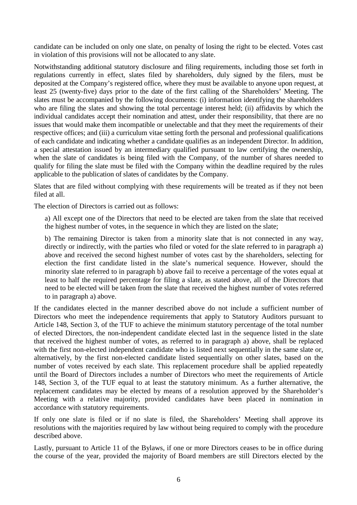candidate can be included on only one slate, on penalty of losing the right to be elected. Votes cast in violation of this provisions will not be allocated to any slate.

Notwithstanding additional statutory disclosure and filing requirements, including those set forth in regulations currently in effect, slates filed by shareholders, duly signed by the filers, must be deposited at the Company's registered office, where they must be available to anyone upon request, at least 25 (twenty-five) days prior to the date of the first calling of the Shareholders' Meeting. The slates must be accompanied by the following documents: (i) information identifying the shareholders who are filing the slates and showing the total percentage interest held; (ii) affidavits by which the individual candidates accept their nomination and attest, under their responsibility, that there are no issues that would make them incompatible or unelectable and that they meet the requirements of their respective offices; and (iii) a curriculum vitae setting forth the personal and professional qualifications of each candidate and indicating whether a candidate qualifies as an independent Director. In addition, a special attestation issued by an intermediary qualified pursuant to law certifying the ownership, when the slate of candidates is being filed with the Company, of the number of shares needed to qualify for filing the slate must be filed with the Company within the deadline required by the rules applicable to the publication of slates of candidates by the Company.

Slates that are filed without complying with these requirements will be treated as if they not been filed at all.

The election of Directors is carried out as follows:

a) All except one of the Directors that need to be elected are taken from the slate that received the highest number of votes, in the sequence in which they are listed on the slate;

b) The remaining Director is taken from a minority slate that is not connected in any way, directly or indirectly, with the parties who filed or voted for the slate referred to in paragraph a) above and received the second highest number of votes cast by the shareholders, selecting for election the first candidate listed in the slate's numerical sequence. However, should the minority slate referred to in paragraph b) above fail to receive a percentage of the votes equal at least to half the required percentage for filing a slate, as stated above, all of the Directors that need to be elected will be taken from the slate that received the highest number of votes referred to in paragraph a) above.

If the candidates elected in the manner described above do not include a sufficient number of Directors who meet the independence requirements that apply to Statutory Auditors pursuant to Article 148, Section 3, of the TUF to achieve the minimum statutory percentage of the total number of elected Directors, the non-independent candidate elected last in the sequence listed in the slate that received the highest number of votes, as referred to in paragraph a) above, shall be replaced with the first non-elected independent candidate who is listed next sequentially in the same slate or, alternatively, by the first non-elected candidate listed sequentially on other slates, based on the number of votes received by each slate. This replacement procedure shall be applied repeatedly until the Board of Directors includes a number of Directors who meet the requirements of Article 148, Section 3, of the TUF equal to at least the statutory minimum. As a further alternative, the replacement candidates may be elected by means of a resolution approved by the Shareholder's Meeting with a relative majority, provided candidates have been placed in nomination in accordance with statutory requirements.

If only one slate is filed or if no slate is filed, the Shareholders' Meeting shall approve its resolutions with the majorities required by law without being required to comply with the procedure described above.

Lastly, pursuant to Article 11 of the Bylaws, if one or more Directors ceases to be in office during the course of the year, provided the majority of Board members are still Directors elected by the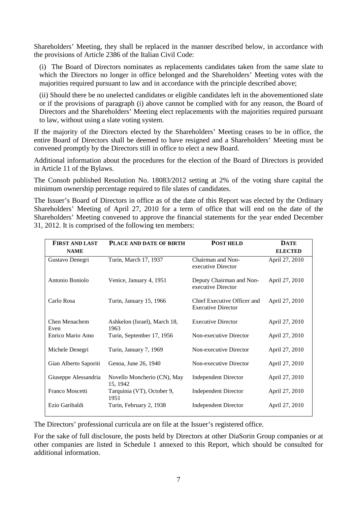Shareholders' Meeting, they shall be replaced in the manner described below, in accordance with the provisions of Article 2386 of the Italian Civil Code:

(i) The Board of Directors nominates as replacements candidates taken from the same slate to which the Directors no longer in office belonged and the Shareholders' Meeting votes with the majorities required pursuant to law and in accordance with the principle described above:

(ii) Should there be no unelected candidates or eligible candidates left in the abovementioned slate or if the provisions of paragraph (i) above cannot be complied with for any reason, the Board of Directors and the Shareholders' Meeting elect replacements with the majorities required pursuant to law, without using a slate voting system.

If the majority of the Directors elected by the Shareholders' Meeting ceases to be in office, the entire Board of Directors shall be deemed to have resigned and a Shareholders' Meeting must be convened promptly by the Directors still in office to elect a new Board.

Additional information about the procedures for the election of the Board of Directors is provided in Article 11 of the Bylaws.

The Consob published Resolution No. 18083/2012 setting at 2% of the voting share capital the minimum ownership percentage required to file slates of candidates.

The Issuer's Board of Directors in office as of the date of this Report was elected by the Ordinary Shareholders' Meeting of April 27, 2010 for a term of office that will end on the date of the Shareholders' Meeting convened to approve the financial statements for the year ended December 31, 2012. It is comprised of the following ten members:

| <b>FIRST AND LAST</b>        | PLACE AND DATE OF BIRTH                 | <b>POST HELD</b>                                         | <b>DATE</b>    |
|------------------------------|-----------------------------------------|----------------------------------------------------------|----------------|
| <b>NAME</b>                  |                                         |                                                          | <b>ELECTED</b> |
| Gustavo Denegri              | Turin, March 17, 1937                   | Chairman and Non-<br>executive Director                  | April 27, 2010 |
| Antonio Boniolo              | Venice, January 4, 1951                 | Deputy Chairman and Non-<br>executive Director           | April 27, 2010 |
| Carlo Rosa                   | Turin, January 15, 1966                 | Chief Executive Officer and<br><b>Executive Director</b> | April 27, 2010 |
| <b>Chen Menachem</b><br>Even | Ashkelon (Israel), March 18,<br>1963    | <b>Executive Director</b>                                | April 27, 2010 |
| Enrico Mario Amo             | Turin, September 17, 1956               | Non-executive Director                                   | April 27, 2010 |
| Michele Denegri              | Turin, January 7, 1969                  | Non-executive Director                                   | April 27, 2010 |
| Gian Alberto Saporiti        | Genoa, June 26, 1940                    | Non-executive Director                                   | April 27, 2010 |
| Giuseppe Alessandria         | Novello Moncherio (CN), May<br>15, 1942 | <b>Independent Director</b>                              | April 27, 2010 |
| Franco Moscetti              | Tarquinia (VT), October 9,<br>1951      | <b>Independent Director</b>                              | April 27, 2010 |
| Ezio Garibaldi               | Turin, February 2, 1938                 | <b>Independent Director</b>                              | April 27, 2010 |

The Directors' professional curricula are on file at the Issuer's registered office.

For the sake of full disclosure, the posts held by Directors at other DiaSorin Group companies or at other companies are listed in Schedule 1 annexed to this Report, which should be consulted for additional information.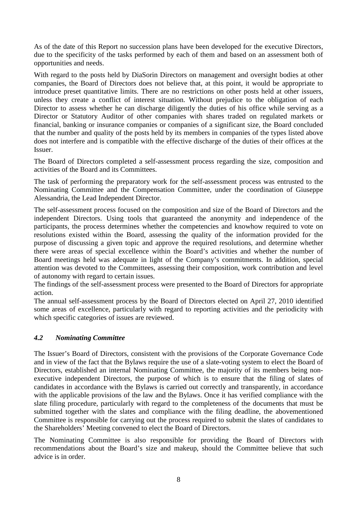As of the date of this Report no succession plans have been developed for the executive Directors, due to the specificity of the tasks performed by each of them and based on an assessment both of opportunities and needs.

With regard to the posts held by DiaSorin Directors on management and oversight bodies at other companies, the Board of Directors does not believe that, at this point, it would be appropriate to introduce preset quantitative limits. There are no restrictions on other posts held at other issuers, unless they create a conflict of interest situation. Without prejudice to the obligation of each Director to assess whether he can discharge diligently the duties of his office while serving as a Director or Statutory Auditor of other companies with shares traded on regulated markets or financial, banking or insurance companies or companies of a significant size, the Board concluded that the number and quality of the posts held by its members in companies of the types listed above does not interfere and is compatible with the effective discharge of the duties of their offices at the Issuer.

The Board of Directors completed a self-assessment process regarding the size, composition and activities of the Board and its Committees.

The task of performing the preparatory work for the self-assessment process was entrusted to the Nominating Committee and the Compensation Committee, under the coordination of Giuseppe Alessandria, the Lead Independent Director.

The self-assessment process focused on the composition and size of the Board of Directors and the independent Directors. Using tools that guaranteed the anonymity and independence of the participants, the process determines whether the competencies and knowhow required to vote on resolutions existed within the Board, assessing the quality of the information provided for the purpose of discussing a given topic and approve the required resolutions, and determine whether there were areas of special excellence within the Board's activities and whether the number of Board meetings held was adequate in light of the Company's commitments. In addition, special attention was devoted to the Committees, assessing their composition, work contribution and level of autonomy with regard to certain issues.

The findings of the self-assessment process were presented to the Board of Directors for appropriate action.

The annual self-assessment process by the Board of Directors elected on April 27, 2010 identified some areas of excellence, particularly with regard to reporting activities and the periodicity with which specific categories of issues are reviewed.

#### *4.2 Nominating Committee*

The Issuer's Board of Directors, consistent with the provisions of the Corporate Governance Code and in view of the fact that the Bylaws require the use of a slate-voting system to elect the Board of Directors, established an internal Nominating Committee, the majority of its members being nonexecutive independent Directors, the purpose of which is to ensure that the filing of slates of candidates in accordance with the Bylaws is carried out correctly and transparently, in accordance with the applicable provisions of the law and the Bylaws. Once it has verified compliance with the slate filing procedure, particularly with regard to the completeness of the documents that must be submitted together with the slates and compliance with the filing deadline, the abovementioned Committee is responsible for carrying out the process required to submit the slates of candidates to the Shareholders' Meeting convened to elect the Board of Directors.

The Nominating Committee is also responsible for providing the Board of Directors with recommendations about the Board's size and makeup, should the Committee believe that such advice is in order.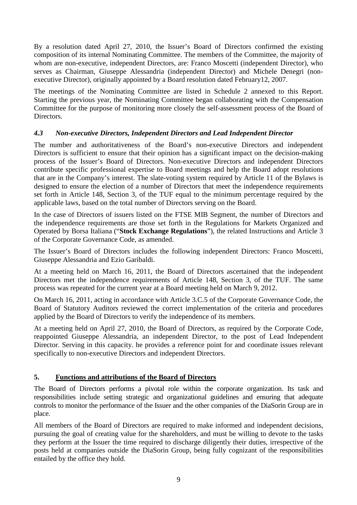By a resolution dated April 27, 2010, the Issuer's Board of Directors confirmed the existing composition of its internal Nominating Committee. The members of the Committee, the majority of whom are non-executive, independent Directors, are: Franco Moscetti (independent Director), who serves as Chairman, Giuseppe Alessandria (independent Director) and Michele Denegri (nonexecutive Director), originally appointed by a Board resolution dated February12, 2007.

The meetings of the Nominating Committee are listed in Schedule 2 annexed to this Report. Starting the previous year, the Nominating Committee began collaborating with the Compensation Committee for the purpose of monitoring more closely the self-assessment process of the Board of Directors.

# *4.3 Non-executive Directors, Independent Directors and Lead Independent Director*

The number and authoritativeness of the Board's non-executive Directors and independent Directors is sufficient to ensure that their opinion has a significant impact on the decision-making process of the Issuer's Board of Directors. Non-executive Directors and independent Directors contribute specific professional expertise to Board meetings and help the Board adopt resolutions that are in the Company's interest. The slate-voting system required by Article 11 of the Bylaws is designed to ensure the election of a number of Directors that meet the independence requirements set forth in Article 148, Section 3, of the TUF equal to the minimum percentage required by the applicable laws, based on the total number of Directors serving on the Board.

In the case of Directors of issuers listed on the FTSE MIB Segment, the number of Directors and the independence requirements are those set forth in the Regulations for Markets Organized and Operated by Borsa Italiana ("**Stock Exchange Regulations**"), the related Instructions and Article 3 of the Corporate Governance Code, as amended.

The Issuer's Board of Directors includes the following independent Directors: Franco Moscetti, Giuseppe Alessandria and Ezio Garibaldi.

At a meeting held on March 16, 2011, the Board of Directors ascertained that the independent Directors met the independence requirements of Article 148, Section 3, of the TUF. The same process was repeated for the current year at a Board meeting held on March 9, 2012.

On March 16, 2011, acting in accordance with Article 3.C.5 of the Corporate Governance Code, the Board of Statutory Auditors reviewed the correct implementation of the criteria and procedures applied by the Board of Directors to verify the independence of its members.

At a meeting held on April 27, 2010, the Board of Directors, as required by the Corporate Code, reappointed Giuseppe Alessandria, an independent Director, to the post of Lead Independent Director. Serving in this capacity. he provides a reference point for and coordinate issues relevant specifically to non-executive Directors and independent Directors.

# **5. Functions and attributions of the Board of Directors**

The Board of Directors performs a pivotal role within the corporate organization. Its task and responsibilities include setting strategic and organizational guidelines and ensuring that adequate controls to monitor the performance of the Issuer and the other companies of the DiaSorin Group are in place.

All members of the Board of Directors are required to make informed and independent decisions, pursuing the goal of creating value for the shareholders, and must be willing to devote to the tasks they perform at the Issuer the time required to discharge diligently their duties, irrespective of the posts held at companies outside the DiaSorin Group, being fully cognizant of the responsibilities entailed by the office they hold.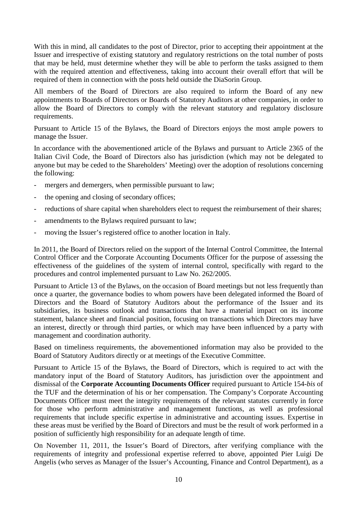With this in mind, all candidates to the post of Director, prior to accepting their appointment at the Issuer and irrespective of existing statutory and regulatory restrictions on the total number of posts that may be held, must determine whether they will be able to perform the tasks assigned to them with the required attention and effectiveness, taking into account their overall effort that will be required of them in connection with the posts held outside the DiaSorin Group.

All members of the Board of Directors are also required to inform the Board of any new appointments to Boards of Directors or Boards of Statutory Auditors at other companies, in order to allow the Board of Directors to comply with the relevant statutory and regulatory disclosure requirements.

Pursuant to Article 15 of the Bylaws, the Board of Directors enjoys the most ample powers to manage the Issuer.

In accordance with the abovementioned article of the Bylaws and pursuant to Article 2365 of the Italian Civil Code, the Board of Directors also has jurisdiction (which may not be delegated to anyone but may be ceded to the Shareholders' Meeting) over the adoption of resolutions concerning the following:

- mergers and demergers, when permissible pursuant to law;
- the opening and closing of secondary offices;
- reductions of share capital when shareholders elect to request the reimbursement of their shares;
- amendments to the Bylaws required pursuant to law;
- moving the Issuer's registered office to another location in Italy.

In 2011, the Board of Directors relied on the support of the Internal Control Committee, the Internal Control Officer and the Corporate Accounting Documents Officer for the purpose of assessing the effectiveness of the guidelines of the system of internal control, specifically with regard to the procedures and control implemented pursuant to Law No. 262/2005.

Pursuant to Article 13 of the Bylaws, on the occasion of Board meetings but not less frequently than once a quarter, the governance bodies to whom powers have been delegated informed the Board of Directors and the Board of Statutory Auditors about the performance of the Issuer and its subsidiaries, its business outlook and transactions that have a material impact on its income statement, balance sheet and financial position, focusing on transactions which Directors may have an interest, directly or through third parties, or which may have been influenced by a party with management and coordination authority.

Based on timeliness requirements, the abovementioned information may also be provided to the Board of Statutory Auditors directly or at meetings of the Executive Committee.

Pursuant to Article 15 of the Bylaws, the Board of Directors, which is required to act with the mandatory input of the Board of Statutory Auditors, has jurisdiction over the appointment and dismissal of the **Corporate Accounting Documents Officer** required pursuant to Article 154-*bis* of the TUF and the determination of his or her compensation. The Company's Corporate Accounting Documents Officer must meet the integrity requirements of the relevant statutes currently in force for those who perform administrative and management functions, as well as professional requirements that include specific expertise in administrative and accounting issues. Expertise in these areas must be verified by the Board of Directors and must be the result of work performed in a position of sufficiently high responsibility for an adequate length of time.

On November 11, 2011, the Issuer's Board of Directors, after verifying compliance with the requirements of integrity and professional expertise referred to above, appointed Pier Luigi De Angelis (who serves as Manager of the Issuer's Accounting, Finance and Control Department), as a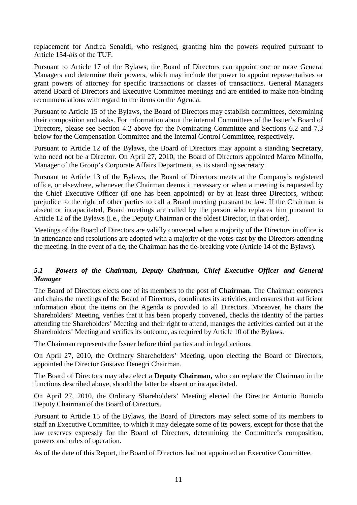replacement for Andrea Senaldi, who resigned, granting him the powers required pursuant to Article 154-*bis* of the TUF.

Pursuant to Article 17 of the Bylaws, the Board of Directors can appoint one or more General Managers and determine their powers, which may include the power to appoint representatives or grant powers of attorney for specific transactions or classes of transactions. General Managers attend Board of Directors and Executive Committee meetings and are entitled to make non-binding recommendations with regard to the items on the Agenda.

Pursuant to Article 15 of the Bylaws, the Board of Directors may establish committees, determining their composition and tasks. For information about the internal Committees of the Issuer's Board of Directors, please see Section 4.2 above for the Nominating Committee and Sections 6.2 and 7.3 below for the Compensation Committee and the Internal Control Committee, respectively.

Pursuant to Article 12 of the Bylaws, the Board of Directors may appoint a standing **Secretary**, who need not be a Director. On April 27, 2010, the Board of Directors appointed Marco Minolfo, Manager of the Group's Corporate Affairs Department, as its standing secretary.

Pursuant to Article 13 of the Bylaws, the Board of Directors meets at the Company's registered office, or elsewhere, whenever the Chairman deems it necessary or when a meeting is requested by the Chief Executive Officer (if one has been appointed) or by at least three Directors, without prejudice to the right of other parties to call a Board meeting pursuant to law. If the Chairman is absent or incapacitated, Board meetings are called by the person who replaces him pursuant to Article 12 of the Bylaws (i.e., the Deputy Chairman or the oldest Director, in that order).

Meetings of the Board of Directors are validly convened when a majority of the Directors in office is in attendance and resolutions are adopted with a majority of the votes cast by the Directors attending the meeting. In the event of a tie, the Chairman has the tie-breaking vote (Article 14 of the Bylaws).

# *5.1 Powers of the Chairman, Deputy Chairman, Chief Executive Officer and General Manager*

The Board of Directors elects one of its members to the post of **Chairman.** The Chairman convenes and chairs the meetings of the Board of Directors, coordinates its activities and ensures that sufficient information about the items on the Agenda is provided to all Directors. Moreover, he chairs the Shareholders' Meeting, verifies that it has been properly convened, checks the identity of the parties attending the Shareholders' Meeting and their right to attend, manages the activities carried out at the Shareholders' Meeting and verifies its outcome, as required by Article 10 of the Bylaws.

The Chairman represents the Issuer before third parties and in legal actions.

On April 27, 2010, the Ordinary Shareholders' Meeting, upon electing the Board of Directors, appointed the Director Gustavo Denegri Chairman.

The Board of Directors may also elect a **Deputy Chairman,** who can replace the Chairman in the functions described above, should the latter be absent or incapacitated.

On April 27, 2010, the Ordinary Shareholders' Meeting elected the Director Antonio Boniolo Deputy Chairman of the Board of Directors.

Pursuant to Article 15 of the Bylaws, the Board of Directors may select some of its members to staff an Executive Committee, to which it may delegate some of its powers, except for those that the law reserves expressly for the Board of Directors, determining the Committee's composition, powers and rules of operation.

As of the date of this Report, the Board of Directors had not appointed an Executive Committee.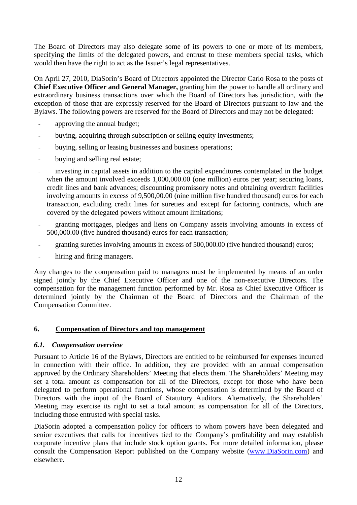The Board of Directors may also delegate some of its powers to one or more of its members, specifying the limits of the delegated powers, and entrust to these members special tasks, which would then have the right to act as the Issuer's legal representatives.

On April 27, 2010, DiaSorin's Board of Directors appointed the Director Carlo Rosa to the posts of **Chief Executive Officer and General Manager,** granting him the power to handle all ordinary and extraordinary business transactions over which the Board of Directors has jurisdiction, with the exception of those that are expressly reserved for the Board of Directors pursuant to law and the Bylaws. The following powers are reserved for the Board of Directors and may not be delegated:

- approving the annual budget;
- buying, acquiring through subscription or selling equity investments;
- buying, selling or leasing businesses and business operations;
- buying and selling real estate;
- investing in capital assets in addition to the capital expenditures contemplated in the budget when the amount involved exceeds 1,000,000.00 (one million) euros per year; securing loans, credit lines and bank advances; discounting promissory notes and obtaining overdraft facilities involving amounts in excess of 9,500,00.00 (nine million five hundred thousand) euros for each transaction, excluding credit lines for sureties and except for factoring contracts, which are covered by the delegated powers without amount limitations;
- granting mortgages, pledges and liens on Company assets involving amounts in excess of 500,000.00 (five hundred thousand) euros for each transaction;
- granting sureties involving amounts in excess of 500,000.00 (five hundred thousand) euros;
- hiring and firing managers.

Any changes to the compensation paid to managers must be implemented by means of an order signed jointly by the Chief Executive Officer and one of the non-executive Directors. The compensation for the management function performed by Mr. Rosa as Chief Executive Officer is determined jointly by the Chairman of the Board of Directors and the Chairman of the Compensation Committee.

#### **6. Compensation of Directors and top management**

#### *6.1. Compensation overview*

Pursuant to Article 16 of the Bylaws, Directors are entitled to be reimbursed for expenses incurred in connection with their office. In addition, they are provided with an annual compensation approved by the Ordinary Shareholders' Meeting that elects them. The Shareholders' Meeting may set a total amount as compensation for all of the Directors, except for those who have been delegated to perform operational functions, whose compensation is determined by the Board of Directors with the input of the Board of Statutory Auditors. Alternatively, the Shareholders' Meeting may exercise its right to set a total amount as compensation for all of the Directors, including those entrusted with special tasks.

DiaSorin adopted a compensation policy for officers to whom powers have been delegated and senior executives that calls for incentives tied to the Company's profitability and may establish corporate incentive plans that include stock option grants. For more detailed information, please consult the Compensation Report published on the Company website (www.DiaSorin.com) and elsewhere.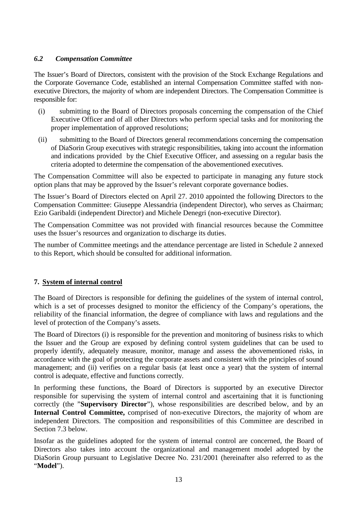### *6.2 Compensation Committee*

The Issuer's Board of Directors, consistent with the provision of the Stock Exchange Regulations and the Corporate Governance Code, established an internal Compensation Committee staffed with nonexecutive Directors, the majority of whom are independent Directors. The Compensation Committee is responsible for:

- (i) submitting to the Board of Directors proposals concerning the compensation of the Chief Executive Officer and of all other Directors who perform special tasks and for monitoring the proper implementation of approved resolutions;
- (ii) submitting to the Board of Directors general recommendations concerning the compensation of DiaSorin Group executives with strategic responsibilities, taking into account the information and indications provided by the Chief Executive Officer, and assessing on a regular basis the criteria adopted to determine the compensation of the abovementioned executives.

The Compensation Committee will also be expected to participate in managing any future stock option plans that may be approved by the Issuer's relevant corporate governance bodies.

The Issuer's Board of Directors elected on April 27. 2010 appointed the following Directors to the Compensation Committee: Giuseppe Alessandria (independent Director), who serves as Chairman; Ezio Garibaldi (independent Director) and Michele Denegri (non-executive Director).

The Compensation Committee was not provided with financial resources because the Committee uses the Issuer's resources and organization to discharge its duties.

The number of Committee meetings and the attendance percentage are listed in Schedule 2 annexed to this Report, which should be consulted for additional information.

#### **7. System of internal control**

The Board of Directors is responsible for defining the guidelines of the system of internal control, which is a set of processes designed to monitor the efficiency of the Company's operations, the reliability of the financial information, the degree of compliance with laws and regulations and the level of protection of the Company's assets.

The Board of Directors (i) is responsible for the prevention and monitoring of business risks to which the Issuer and the Group are exposed by defining control system guidelines that can be used to properly identify, adequately measure, monitor, manage and assess the abovementioned risks, in accordance with the goal of protecting the corporate assets and consistent with the principles of sound management; and (ii) verifies on a regular basis (at least once a year) that the system of internal control is adequate, effective and functions correctly.

In performing these functions, the Board of Directors is supported by an executive Director responsible for supervising the system of internal control and ascertaining that it is functioning correctly (the "**Supervisory Director**"), whose responsibilities are described below, and by an **Internal Control Committee,** comprised of non-executive Directors, the majority of whom are independent Directors. The composition and responsibilities of this Committee are described in Section 7.3 below.

Insofar as the guidelines adopted for the system of internal control are concerned, the Board of Directors also takes into account the organizational and management model adopted by the DiaSorin Group pursuant to Legislative Decree No. 231/2001 (hereinafter also referred to as the "**Model**").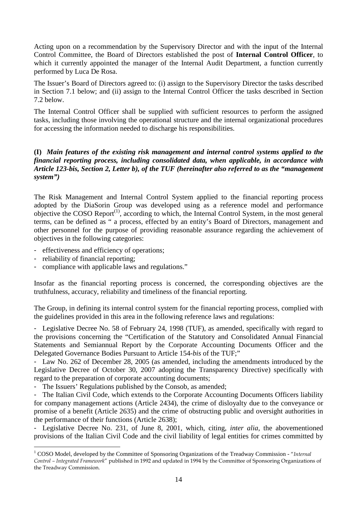Acting upon on a recommendation by the Supervisory Director and with the input of the Internal Control Committee, the Board of Directors established the post of **Internal Control Officer**, to which it currently appointed the manager of the Internal Audit Department, a function currently performed by Luca De Rosa.

The Issuer's Board of Directors agreed to: (i) assign to the Supervisory Director the tasks described in Section 7.1 below; and (ii) assign to the Internal Control Officer the tasks described in Section 7.2 below.

The Internal Control Officer shall be supplied with sufficient resources to perform the assigned tasks, including those involving the operational structure and the internal organizational procedures for accessing the information needed to discharge his responsibilities.

#### **(I)** *Main features of the existing risk management and internal control systems applied to the financial reporting process, including consolidated data, when applicable, in accordance with Article 123-bis, Section 2, Letter b), of the TUF (hereinafter also referred to as the "management system")*

The Risk Management and Internal Control System applied to the financial reporting process adopted by the DiaSorin Group was developed using as a reference model and performance objective the COSO Report<sup>(1)</sup>, according to which, the Internal Control System, in the most general terms, can be defined as " a process, effected by an entity's Board of Directors, management and other personnel for the purpose of providing reasonable assurance regarding the achievement of objectives in the following categories:

- effectiveness and efficiency of operations;
- reliability of financial reporting;

 $\overline{a}$ 

compliance with applicable laws and regulations."

Insofar as the financial reporting process is concerned, the corresponding objectives are the truthfulness, accuracy, reliability and timeliness of the financial reporting.

The Group, in defining its internal control system for the financial reporting process, complied with the guidelines provided in this area in the following reference laws and regulations:

- Legislative Decree No. 58 of February 24, 1998 (TUF), as amended, specifically with regard to the provisions concerning the "Certification of the Statutory and Consolidated Annual Financial Statements and Semiannual Report by the Corporate Accounting Documents Officer and the Delegated Governance Bodies Pursuant to Article 154-*bis* of the TUF;"

- Law No. 262 of December 28, 2005 (as amended, including the amendments introduced by the Legislative Decree of October 30, 2007 adopting the Transparency Directive) specifically with regard to the preparation of corporate accounting documents;

The Issuers' Regulations published by the Consob, as amended;

- The Italian Civil Code, which extends to the Corporate Accounting Documents Officers liability for company management actions (Article 2434), the crime of disloyalty due to the conveyance or promise of a benefit (Article 2635) and the crime of obstructing public and oversight authorities in the performance of their functions (Article 2638);

- Legislative Decree No. 231, of June 8, 2001, which, citing, *inter alia,* the abovementioned provisions of the Italian Civil Code and the civil liability of legal entities for crimes committed by

<sup>&</sup>lt;sup>1</sup> COSO Model, developed by the Committee of Sponsoring Organizations of the Treadway Commission - "Internal Control – Integrated Framework" published in 1992 and updated in 1994 by the Committee of Sponsoring Organizations of the Treadway Commission.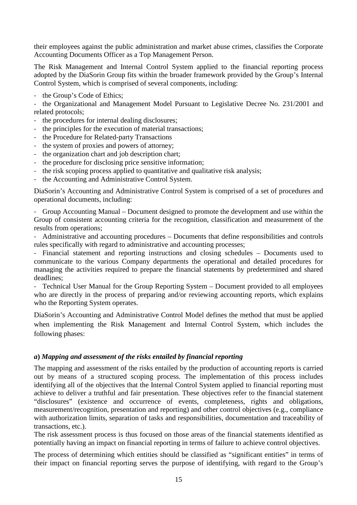their employees against the public administration and market abuse crimes, classifies the Corporate Accounting Documents Officer as a Top Management Person.

The Risk Management and Internal Control System applied to the financial reporting process adopted by the DiaSorin Group fits within the broader framework provided by the Group's Internal Control System, which is comprised of several components, including:

- the Group's Code of Ethics;

- the Organizational and Management Model Pursuant to Legislative Decree No. 231/2001 and related protocols;

- the procedures for internal dealing disclosures;
- the principles for the execution of material transactions;
- the Procedure for Related-party Transactions
- the system of proxies and powers of attorney;
- the organization chart and job description chart;
- the procedure for disclosing price sensitive information;
- the risk scoping process applied to quantitative and qualitative risk analysis;
- the Accounting and Administrative Control System.

DiaSorin's Accounting and Administrative Control System is comprised of a set of procedures and operational documents, including:

- Group Accounting Manual – Document designed to promote the development and use within the Group of consistent accounting criteria for the recognition, classification and measurement of the results from operations;

- Administrative and accounting procedures – Documents that define responsibilities and controls rules specifically with regard to administrative and accounting processes;

- Financial statement and reporting instructions and closing schedules – Documents used to communicate to the various Company departments the operational and detailed procedures for managing the activities required to prepare the financial statements by predetermined and shared deadlines;

- Technical User Manual for the Group Reporting System – Document provided to all employees who are directly in the process of preparing and/or reviewing accounting reports, which explains who the Reporting System operates.

DiaSorin's Accounting and Administrative Control Model defines the method that must be applied when implementing the Risk Management and Internal Control System, which includes the following phases:

#### *a***)** *Mapping and assessment of the risks entailed by financial reporting*

The mapping and assessment of the risks entailed by the production of accounting reports is carried out by means of a structured scoping process. The implementation of this process includes identifying all of the objectives that the Internal Control System applied to financial reporting must achieve to deliver a truthful and fair presentation. These objectives refer to the financial statement "disclosures" (existence and occurrence of events, completeness, rights and obligations, measurement/recognition, presentation and reporting) and other control objectives (e.g., compliance with authorization limits, separation of tasks and responsibilities, documentation and traceability of transactions, etc.).

The risk assessment process is thus focused on those areas of the financial statements identified as potentially having an impact on financial reporting in terms of failure to achieve control objectives.

The process of determining which entities should be classified as "significant entities" in terms of their impact on financial reporting serves the purpose of identifying, with regard to the Group's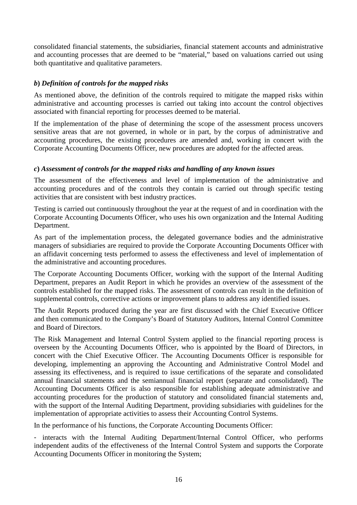consolidated financial statements, the subsidiaries, financial statement accounts and administrative and accounting processes that are deemed to be "material," based on valuations carried out using both quantitative and qualitative parameters.

# *b***)** *Definition of controls for the mapped risks*

As mentioned above, the definition of the controls required to mitigate the mapped risks within administrative and accounting processes is carried out taking into account the control objectives associated with financial reporting for processes deemed to be material.

If the implementation of the phase of determining the scope of the assessment process uncovers sensitive areas that are not governed, in whole or in part, by the corpus of administrative and accounting procedures, the existing procedures are amended and, working in concert with the Corporate Accounting Documents Officer, new procedures are adopted for the affected areas.

#### *c***)** *Assessment of controls for the mapped risks and handling of any known issues*

The assessment of the effectiveness and level of implementation of the administrative and accounting procedures and of the controls they contain is carried out through specific testing activities that are consistent with best industry practices.

Testing is carried out continuously throughout the year at the request of and in coordination with the Corporate Accounting Documents Officer, who uses his own organization and the Internal Auditing Department.

As part of the implementation process, the delegated governance bodies and the administrative managers of subsidiaries are required to provide the Corporate Accounting Documents Officer with an affidavit concerning tests performed to assess the effectiveness and level of implementation of the administrative and accounting procedures.

The Corporate Accounting Documents Officer, working with the support of the Internal Auditing Department, prepares an Audit Report in which he provides an overview of the assessment of the controls established for the mapped risks. The assessment of controls can result in the definition of supplemental controls, corrective actions or improvement plans to address any identified issues.

The Audit Reports produced during the year are first discussed with the Chief Executive Officer and then communicated to the Company's Board of Statutory Auditors, Internal Control Committee and Board of Directors.

The Risk Management and Internal Control System applied to the financial reporting process is overseen by the Accounting Documents Officer, who is appointed by the Board of Directors, in concert with the Chief Executive Officer. The Accounting Documents Officer is responsible for developing, implementing an approving the Accounting and Administrative Control Model and assessing its effectiveness, and is required to issue certifications of the separate and consolidated annual financial statements and the semiannual financial report (separate and consolidated). The Accounting Documents Officer is also responsible for establishing adequate administrative and accounting procedures for the production of statutory and consolidated financial statements and, with the support of the Internal Auditing Department, providing subsidiaries with guidelines for the implementation of appropriate activities to assess their Accounting Control Systems.

In the performance of his functions, the Corporate Accounting Documents Officer:

- interacts with the Internal Auditing Department/Internal Control Officer, who performs independent audits of the effectiveness of the Internal Control System and supports the Corporate Accounting Documents Officer in monitoring the System;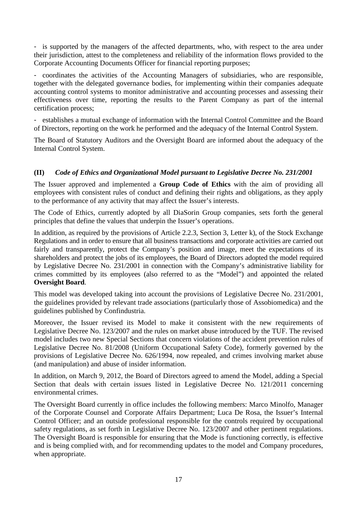- is supported by the managers of the affected departments, who, with respect to the area under their jurisdiction, attest to the completeness and reliability of the information flows provided to the Corporate Accounting Documents Officer for financial reporting purposes;

- coordinates the activities of the Accounting Managers of subsidiaries, who are responsible, together with the delegated governance bodies, for implementing within their companies adequate accounting control systems to monitor administrative and accounting processes and assessing their effectiveness over time, reporting the results to the Parent Company as part of the internal certification process;

- establishes a mutual exchange of information with the Internal Control Committee and the Board of Directors, reporting on the work he performed and the adequacy of the Internal Control System.

The Board of Statutory Auditors and the Oversight Board are informed about the adequacy of the Internal Control System.

# **(II)** *Code of Ethics and Organizational Model pursuant to Legislative Decree No. 231/2001*

The Issuer approved and implemented a **Group Code of Ethics** with the aim of providing all employees with consistent rules of conduct and defining their rights and obligations, as they apply to the performance of any activity that may affect the Issuer's interests.

The Code of Ethics, currently adopted by all DiaSorin Group companies, sets forth the general principles that define the values that underpin the Issuer's operations.

In addition, as required by the provisions of Article 2.2.3, Section 3, Letter k), of the Stock Exchange Regulations and in order to ensure that all business transactions and corporate activities are carried out fairly and transparently, protect the Company's position and image, meet the expectations of its shareholders and protect the jobs of its employees, the Board of Directors adopted the model required by Legislative Decree No. 231/2001 in connection with the Company's administrative liability for crimes committed by its employees (also referred to as the "Model") and appointed the related **Oversight Board**.

This model was developed taking into account the provisions of Legislative Decree No. 231/2001, the guidelines provided by relevant trade associations (particularly those of Assobiomedica) and the guidelines published by Confindustria.

Moreover, the Issuer revised its Model to make it consistent with the new requirements of Legislative Decree No. 123/2007 and the rules on market abuse introduced by the TUF. The revised model includes two new Special Sections that concern violations of the accident prevention rules of Legislative Decree No. 81/2008 (Uniform Occupational Safety Code), formerly governed by the provisions of Legislative Decree No. 626/1994, now repealed, and crimes involving market abuse (and manipulation) and abuse of insider information.

In addition, on March 9, 2012, the Board of Directors agreed to amend the Model, adding a Special Section that deals with certain issues listed in Legislative Decree No. 121/2011 concerning environmental crimes.

The Oversight Board currently in office includes the following members: Marco Minolfo, Manager of the Corporate Counsel and Corporate Affairs Department; Luca De Rosa, the Issuer's Internal Control Officer; and an outside professional responsible for the controls required by occupational safety regulations, as set forth in Legislative Decree No. 123/2007 and other pertinent regulations. The Oversight Board is responsible for ensuring that the Mode is functioning correctly, is effective and is being complied with, and for recommending updates to the model and Company procedures, when appropriate.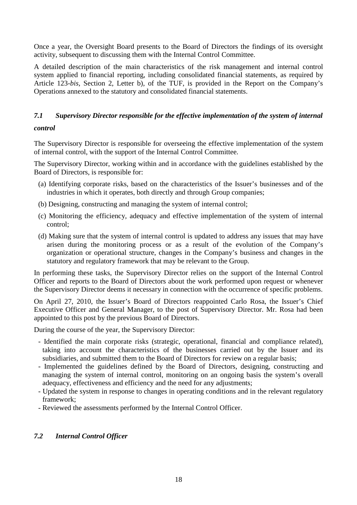Once a year, the Oversight Board presents to the Board of Directors the findings of its oversight activity, subsequent to discussing them with the Internal Control Committee.

A detailed description of the main characteristics of the risk management and internal control system applied to financial reporting, including consolidated financial statements, as required by Article 123-*bis,* Section 2, Letter b), of the TUF, is provided in the Report on the Company's Operations annexed to the statutory and consolidated financial statements.

# *7.1 Supervisory Director responsible for the effective implementation of the system of internal*

#### *control*

The Supervisory Director is responsible for overseeing the effective implementation of the system of internal control, with the support of the Internal Control Committee.

The Supervisory Director, working within and in accordance with the guidelines established by the Board of Directors, is responsible for:

- (a) Identifying corporate risks, based on the characteristics of the Issuer's businesses and of the industries in which it operates, both directly and through Group companies;
- (b) Designing, constructing and managing the system of internal control;
- (c) Monitoring the efficiency, adequacy and effective implementation of the system of internal control;
- (d) Making sure that the system of internal control is updated to address any issues that may have arisen during the monitoring process or as a result of the evolution of the Company's organization or operational structure, changes in the Company's business and changes in the statutory and regulatory framework that may be relevant to the Group.

In performing these tasks, the Supervisory Director relies on the support of the Internal Control Officer and reports to the Board of Directors about the work performed upon request or whenever the Supervisory Director deems it necessary in connection with the occurrence of specific problems.

On April 27, 2010, the Issuer's Board of Directors reappointed Carlo Rosa, the Issuer's Chief Executive Officer and General Manager, to the post of Supervisory Director. Mr. Rosa had been appointed to this post by the previous Board of Directors.

During the course of the year, the Supervisory Director:

- Identified the main corporate risks (strategic, operational, financial and compliance related), taking into account the characteristics of the businesses carried out by the Issuer and its subsidiaries, and submitted them to the Board of Directors for review on a regular basis;
- Implemented the guidelines defined by the Board of Directors, designing, constructing and managing the system of internal control, monitoring on an ongoing basis the system's overall adequacy, effectiveness and efficiency and the need for any adjustments;
- Updated the system in response to changes in operating conditions and in the relevant regulatory framework;
- Reviewed the assessments performed by the Internal Control Officer.

# *7.2 Internal Control Officer*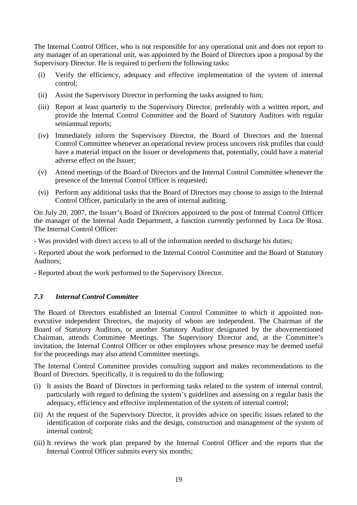The Internal Control Officer, who is not responsible for any operational unit and does not report to any manager of an operational unit, was appointed by the Board of Directors upon a proposal by the Supervisory Director. He is required to perform the following tasks:

- (i) Verify the efficiency, adequacy and effective implementation of the system of internal control;
- (ii) Assist the Supervisory Director in performing the tasks assigned to him;
- (iii) Report at least quarterly to the Supervisory Director, preferably with a written report, and provide the Internal Control Committee and the Board of Statutory Auditors with regular semiannual reports;
- (iv) Immediately inform the Supervisory Director, the Board of Directors and the Internal Control Committee whenever an operational review process uncovers risk profiles that could have a material impact on the Issuer or developments that, potentially, could have a material adverse effect on the Issuer;
- (v) Attend meetings of the Board of Directors and the Internal Control Committee whenever the presence of the Internal Control Officer is requested;
- (vi) Perform any additional tasks that the Board of Directors may choose to assign to the Internal Control Officer, particularly in the area of internal auditing.

On July 20, 2007, the Issuer's Board of Directors appointed to the post of Internal Control Officer the manager of the Internal Audit Department, a function currently performed by Luca De Rosa. The Internal Control Officer:

- Was provided with direct access to all of the information needed to discharge his duties;

- Reported about the work performed to the Internal Control Committee and the Board of Statutory Auditors;

- Reported about the work performed to the Supervisory Director.

#### *7.3 Internal Control Committee*

The Board of Directors established an Internal Control Committee to which it appointed nonexecutive independent Directors, the majority of whom are independent. The Chairman of the Board of Statutory Auditors, or another Statutory Auditor designated by the abovementioned Chairman, attends Committee Meetings. The Supervisory Director and, at the Committee's invitation, the Internal Control Officer or other employees whose presence may be deemed useful for the proceedings may also attend Committee meetings.

The Internal Control Committee provides consulting support and makes recommendations to the Board of Directors. Specifically, it is required to do the following:

- (i) It assists the Board of Directors in performing tasks related to the system of internal control, particularly with regard to defining the system's guidelines and assessing on a regular basis the adequacy, efficiency and effective implementation of the system of internal control;
- (ii) At the request of the Supervisory Director, it provides advice on specific issues related to the identification of corporate risks and the design, construction and management of the system of internal control;
- (iii) It reviews the work plan prepared by the Internal Control Officer and the reports that the Internal Control Officer submits every six months;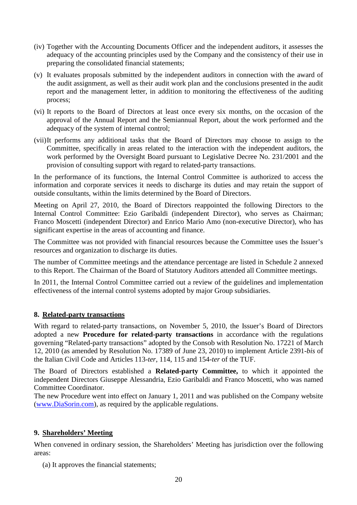- (iv) Together with the Accounting Documents Officer and the independent auditors, it assesses the adequacy of the accounting principles used by the Company and the consistency of their use in preparing the consolidated financial statements;
- (v) It evaluates proposals submitted by the independent auditors in connection with the award of the audit assignment, as well as their audit work plan and the conclusions presented in the audit report and the management letter, in addition to monitoring the effectiveness of the auditing process;
- (vi) It reports to the Board of Directors at least once every six months, on the occasion of the approval of the Annual Report and the Semiannual Report, about the work performed and the adequacy of the system of internal control;
- (vii) It performs any additional tasks that the Board of Directors may choose to assign to the Committee, specifically in areas related to the interaction with the independent auditors, the work performed by the Oversight Board pursuant to Legislative Decree No. 231/2001 and the provision of consulting support with regard to related-party transactions.

In the performance of its functions, the Internal Control Committee is authorized to access the information and corporate services it needs to discharge its duties and may retain the support of outside consultants, within the limits determined by the Board of Directors.

Meeting on April 27, 2010, the Board of Directors reappointed the following Directors to the Internal Control Committee: Ezio Garibaldi (independent Director), who serves as Chairman; Franco Moscetti (independent Director) and Enrico Mario Amo (non-executive Director), who has significant expertise in the areas of accounting and finance.

The Committee was not provided with financial resources because the Committee uses the Issuer's resources and organization to discharge its duties.

The number of Committee meetings and the attendance percentage are listed in Schedule 2 annexed to this Report. The Chairman of the Board of Statutory Auditors attended all Committee meetings.

In 2011, the Internal Control Committee carried out a review of the guidelines and implementation effectiveness of the internal control systems adopted by major Group subsidiaries.

#### **8. Related-party transactions**

With regard to related-party transactions, on November 5, 2010, the Issuer's Board of Directors adopted a new **Procedure for related-party transactions** in accordance with the regulations governing "Related-party transactions" adopted by the Consob with Resolution No. 17221 of March 12, 2010 (as amended by Resolution No. 17389 of June 23, 2010) to implement Article 2391-*bis* of the Italian Civil Code and Articles 113-*ter*, 114, 115 and 154-*ter* of the TUF.

The Board of Directors established a **Related-party Committee,** to which it appointed the independent Directors Giuseppe Alessandria, Ezio Garibaldi and Franco Moscetti, who was named Committee Coordinator.

The new Procedure went into effect on January 1, 2011 and was published on the Company website (www.DiaSorin.com), as required by the applicable regulations.

#### **9. Shareholders' Meeting**

When convened in ordinary session, the Shareholders' Meeting has jurisdiction over the following areas:

(a) It approves the financial statements;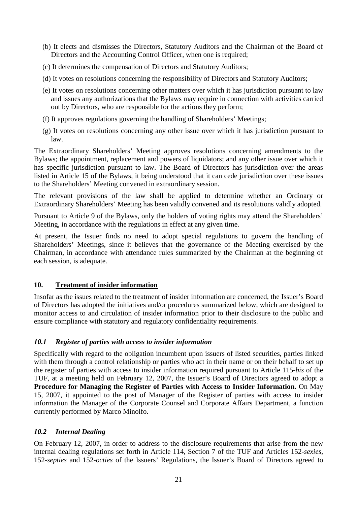- (b) It elects and dismisses the Directors, Statutory Auditors and the Chairman of the Board of Directors and the Accounting Control Officer, when one is required;
- (c) It determines the compensation of Directors and Statutory Auditors;
- (d) It votes on resolutions concerning the responsibility of Directors and Statutory Auditors;
- (e) It votes on resolutions concerning other matters over which it has jurisdiction pursuant to law and issues any authorizations that the Bylaws may require in connection with activities carried out by Directors, who are responsible for the actions they perform;
- (f) It approves regulations governing the handling of Shareholders' Meetings;
- (g) It votes on resolutions concerning any other issue over which it has jurisdiction pursuant to law.

The Extraordinary Shareholders' Meeting approves resolutions concerning amendments to the Bylaws; the appointment, replacement and powers of liquidators; and any other issue over which it has specific jurisdiction pursuant to law. The Board of Directors has jurisdiction over the areas listed in Article 15 of the Bylaws, it being understood that it can cede jurisdiction over these issues to the Shareholders' Meeting convened in extraordinary session.

The relevant provisions of the law shall be applied to determine whether an Ordinary or Extraordinary Shareholders' Meeting has been validly convened and its resolutions validly adopted.

Pursuant to Article 9 of the Bylaws, only the holders of voting rights may attend the Shareholders' Meeting, in accordance with the regulations in effect at any given time.

At present, the Issuer finds no need to adopt special regulations to govern the handling of Shareholders' Meetings, since it believes that the governance of the Meeting exercised by the Chairman, in accordance with attendance rules summarized by the Chairman at the beginning of each session, is adequate.

#### **10. Treatment of insider information**

Insofar as the issues related to the treatment of insider information are concerned, the Issuer's Board of Directors has adopted the initiatives and/or procedures summarized below, which are designed to monitor access to and circulation of insider information prior to their disclosure to the public and ensure compliance with statutory and regulatory confidentiality requirements.

#### *10.1 Register of parties with access to insider information*

Specifically with regard to the obligation incumbent upon issuers of listed securities, parties linked with them through a control relationship or parties who act in their name or on their behalf to set up the register of parties with access to insider information required pursuant to Article 115-*bis* of the TUF, at a meeting held on February 12, 2007, the Issuer's Board of Directors agreed to adopt a **Procedure for Managing the Register of Parties with Access to Insider Information.** On May 15, 2007, it appointed to the post of Manager of the Register of parties with access to insider information the Manager of the Corporate Counsel and Corporate Affairs Department, a function currently performed by Marco Minolfo.

#### *10.2 Internal Dealing*

On February 12, 2007, in order to address to the disclosure requirements that arise from the new internal dealing regulations set forth in Article 114, Section 7 of the TUF and Articles 152-*sexies*, 152-*septies* and 152-*octies* of the Issuers' Regulations, the Issuer's Board of Directors agreed to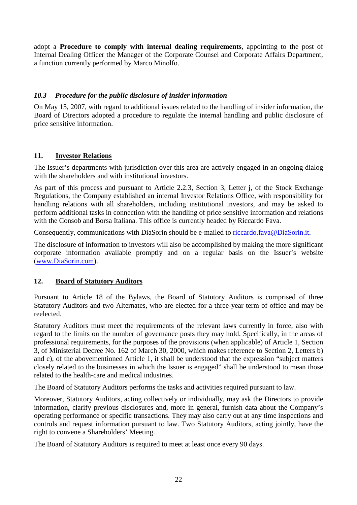adopt a **Procedure to comply with internal dealing requirements**, appointing to the post of Internal Dealing Officer the Manager of the Corporate Counsel and Corporate Affairs Department, a function currently performed by Marco Minolfo.

# *10.3 Procedure for the public disclosure of insider information*

On May 15, 2007, with regard to additional issues related to the handling of insider information, the Board of Directors adopted a procedure to regulate the internal handling and public disclosure of price sensitive information.

# **11. Investor Relations**

The Issuer's departments with jurisdiction over this area are actively engaged in an ongoing dialog with the shareholders and with institutional investors.

As part of this process and pursuant to Article 2.2.3, Section 3, Letter j, of the Stock Exchange Regulations, the Company established an internal Investor Relations Office, with responsibility for handling relations with all shareholders, including institutional investors, and may be asked to perform additional tasks in connection with the handling of price sensitive information and relations with the Consob and Borsa Italiana. This office is currently headed by Riccardo Fava.

Consequently, communications with DiaSorin should be e-mailed to riccardo.fava@DiaSorin.it.

The disclosure of information to investors will also be accomplished by making the more significant corporate information available promptly and on a regular basis on the Issuer's website (www.DiaSorin.com).

#### **12. Board of Statutory Auditors**

Pursuant to Article 18 of the Bylaws, the Board of Statutory Auditors is comprised of three Statutory Auditors and two Alternates, who are elected for a three-year term of office and may be reelected.

Statutory Auditors must meet the requirements of the relevant laws currently in force, also with regard to the limits on the number of governance posts they may hold. Specifically, in the areas of professional requirements, for the purposes of the provisions (when applicable) of Article 1, Section 3, of Ministerial Decree No. 162 of March 30, 2000, which makes reference to Section 2, Letters b) and c), of the abovementioned Article 1, it shall be understood that the expression "subject matters closely related to the businesses in which the Issuer is engaged" shall be understood to mean those related to the health-care and medical industries.

The Board of Statutory Auditors performs the tasks and activities required pursuant to law.

Moreover, Statutory Auditors, acting collectively or individually, may ask the Directors to provide information, clarify previous disclosures and, more in general, furnish data about the Company's operating performance or specific transactions. They may also carry out at any time inspections and controls and request information pursuant to law. Two Statutory Auditors, acting jointly, have the right to convene a Shareholders' Meeting.

The Board of Statutory Auditors is required to meet at least once every 90 days.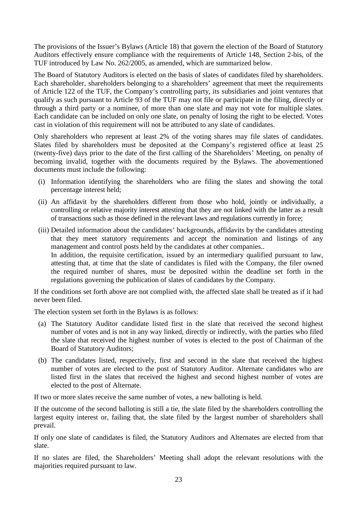The provisions of the Issuer's Bylaws (Article 18) that govern the election of the Board of Statutory Auditors effectively ensure compliance with the requirements of Article 148, Section 2-bis, of the TUF introduced by Law No. 262/2005, as amended, which are summarized below.

The Board of Statutory Auditors is elected on the basis of slates of candidates filed by shareholders. Each shareholder, shareholders belonging to a shareholders' agreement that meet the requirements of Article 122 of the TUF, the Company's controlling party, its subsidiaries and joint ventures that qualify as such pursuant to Article 93 of the TUF may not file or participate in the filing, directly or through a third party or a nominee, of more than one slate and may not vote for multiple slates. Each candidate can be included on only one slate, on penalty of losing the right to be elected. Votes cast in violation of this requirement will not be attributed to any slate of candidates.

Only shareholders who represent at least 2% of the voting shares may file slates of candidates. Slates filed by shareholders must be deposited at the Company's registered office at least 25 (twenty-five) days prior to the date of the first calling of the Shareholders' Meeting, on penalty of becoming invalid, together with the documents required by the Bylaws. The abovementioned documents must include the following:

- (i) Information identifying the shareholders who are filing the slates and showing the total percentage interest held;
- (ii) An affidavit by the shareholders different from those who hold, jointly or individually, a controlling or relative majority interest attesting that they are not linked with the latter as a result of transactions such as those defined in the relevant laws and regulations currently in force;
- (iii) Detailed information about the candidates' backgrounds, affidavits by the candidates attesting that they meet statutory requirements and accept the nomination and listings of any management and control posts held by the candidates at other companies.. In addition, the requisite certification, issued by an intermediary qualified pursuant to law, attesting that, at time that the slate of candidates is filed with the Company, the filer owned the required number of shares, must be deposited within the deadline set forth in the regulations governing the publication of slates of candidates by the Company.

If the conditions set forth above are not complied with, the affected slate shall be treated as if it had never been filed.

The election system set forth in the Bylaws is as follows:

- (a) The Statutory Auditor candidate listed first in the slate that received the second highest number of votes and is not in any way linked, directly or indirectly, with the parties who filed the slate that received the highest number of votes is elected to the post of Chairman of the Board of Statutory Auditors;
- (b) The candidates listed, respectively, first and second in the slate that received the highest number of votes are elected to the post of Statutory Auditor. Alternate candidates who are listed first in the slates that received the highest and second highest number of votes are elected to the post of Alternate.

If two or more slates receive the same number of votes, a new balloting is held.

If the outcome of the second balloting is still a tie, the slate filed by the shareholders controlling the largest equity interest or, failing that, the slate filed by the largest number of shareholders shall prevail.

If only one slate of candidates is filed, the Statutory Auditors and Alternates are elected from that slate.

If no slates are filed, the Shareholders' Meeting shall adopt the relevant resolutions with the majorities required pursuant to law.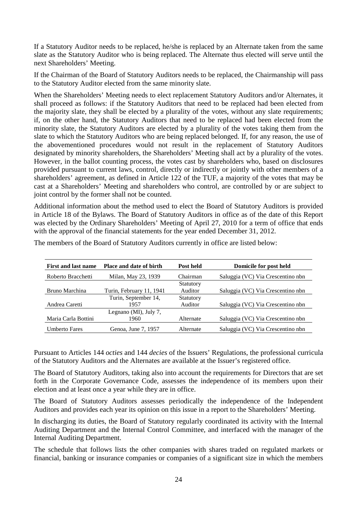If a Statutory Auditor needs to be replaced, he/she is replaced by an Alternate taken from the same slate as the Statutory Auditor who is being replaced. The Alternate thus elected will serve until the next Shareholders' Meeting.

If the Chairman of the Board of Statutory Auditors needs to be replaced, the Chairmanship will pass to the Statutory Auditor elected from the same minority slate.

When the Shareholders' Meeting needs to elect replacement Statutory Auditors and/or Alternates, it shall proceed as follows: if the Statutory Auditors that need to be replaced had been elected from the majority slate, they shall be elected by a plurality of the votes, without any slate requirements; if, on the other hand, the Statutory Auditors that need to be replaced had been elected from the minority slate, the Statutory Auditors are elected by a plurality of the votes taking them from the slate to which the Statutory Auditors who are being replaced belonged. If, for any reason, the use of the abovementioned procedures would not result in the replacement of Statutory Auditors designated by minority shareholders, the Shareholders' Meeting shall act by a plurality of the votes. However, in the ballot counting process, the votes cast by shareholders who, based on disclosures provided pursuant to current laws, control, directly or indirectly or jointly with other members of a shareholders' agreement, as defined in Article 122 of the TUF, a majority of the votes that may be cast at a Shareholders' Meeting and shareholders who control, are controlled by or are subject to joint control by the former shall not be counted.

Additional information about the method used to elect the Board of Statutory Auditors is provided in Article 18 of the Bylaws. The Board of Statutory Auditors in office as of the date of this Report was elected by the Ordinary Shareholders' Meeting of April 27, 2010 for a term of office that ends with the approval of the financial statements for the year ended December 31, 2012.

| <b>Place and date of birth</b> | Post held | Domicile for post held            |
|--------------------------------|-----------|-----------------------------------|
| Milan, May 23, 1939            | Chairman  | Saluggia (VC) Via Crescentino nbn |
|                                | Statutory |                                   |
| Turin, February 11, 1941       | Auditor   | Saluggia (VC) Via Crescentino nbn |
| Turin, September 14,           | Statutory |                                   |
| 1957                           | Auditor   | Saluggia (VC) Via Crescentino nbn |
| Legnano (MI), July 7,          |           |                                   |
| 1960                           | Alternate | Saluggia (VC) Via Crescentino nbn |
| Genoa, June 7, 1957            | Alternate | Saluggia (VC) Via Crescentino nbn |
|                                |           |                                   |

The members of the Board of Statutory Auditors currently in office are listed below:

Pursuant to Articles 144 *octies* and 144 *decies* of the Issuers' Regulations, the professional curricula of the Statutory Auditors and the Alternates are available at the Issuer's registered office.

The Board of Statutory Auditors, taking also into account the requirements for Directors that are set forth in the Corporate Governance Code, assesses the independence of its members upon their election and at least once a year while they are in office.

The Board of Statutory Auditors assesses periodically the independence of the Independent Auditors and provides each year its opinion on this issue in a report to the Shareholders' Meeting.

In discharging its duties, the Board of Statutory regularly coordinated its activity with the Internal Auditing Department and the Internal Control Committee, and interfaced with the manager of the Internal Auditing Department.

The schedule that follows lists the other companies with shares traded on regulated markets or financial, banking or insurance companies or companies of a significant size in which the members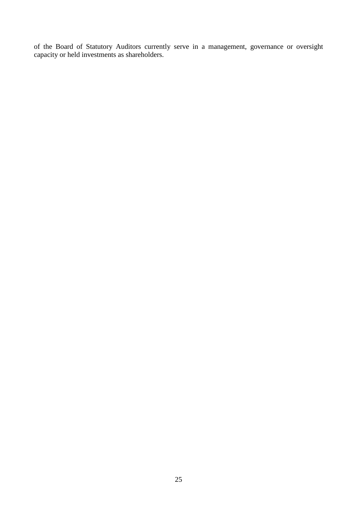of the Board of Statutory Auditors currently serve in a management, governance or oversight capacity or held investments as shareholders.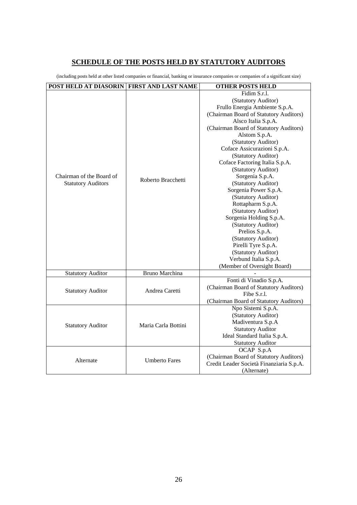# **SCHEDULE OF THE POSTS HELD BY STATUTORY AUDITORS**

(including posts held at other listed companies or financial, banking or insurance companies or companies of a significant size)

| <b>POST HELD AT DIASORIN</b> | FIRST AND LAST NAME   | <b>OTHER POSTS HELD</b>                  |  |  |  |
|------------------------------|-----------------------|------------------------------------------|--|--|--|
|                              |                       | Fidim S.r.l.                             |  |  |  |
|                              |                       | (Statutory Auditor)                      |  |  |  |
|                              |                       | Frullo Energia Ambiente S.p.A.           |  |  |  |
|                              |                       | (Chairman Board of Statutory Auditors)   |  |  |  |
|                              |                       | Alsco Italia S.p.A.                      |  |  |  |
|                              |                       | (Chairman Board of Statutory Auditors)   |  |  |  |
|                              |                       | Alstom S.p.A.                            |  |  |  |
|                              |                       | (Statutory Auditor)                      |  |  |  |
|                              |                       | Coface Assicurazioni S.p.A.              |  |  |  |
|                              |                       | (Statutory Auditor)                      |  |  |  |
|                              |                       | Coface Factoring Italia S.p.A.           |  |  |  |
|                              |                       | (Statutory Auditor)                      |  |  |  |
| Chairman of the Board of     | Roberto Bracchetti    | Sorgenia S.p.A.                          |  |  |  |
| <b>Statutory Auditors</b>    |                       | (Statutory Auditor)                      |  |  |  |
|                              |                       | Sorgenia Power S.p.A.                    |  |  |  |
|                              |                       | (Statutory Auditor)                      |  |  |  |
|                              |                       | Rottapharm S.p.A.                        |  |  |  |
|                              |                       | (Statutory Auditor)                      |  |  |  |
|                              |                       | Sorgenia Holding S.p.A.                  |  |  |  |
|                              |                       | (Statutory Auditor)                      |  |  |  |
|                              |                       | Prelios S.p.A.                           |  |  |  |
|                              |                       | (Statutory Auditor)                      |  |  |  |
|                              |                       | Pirelli Tyre S.p.A.                      |  |  |  |
|                              |                       | (Statutory Auditor)                      |  |  |  |
|                              |                       | Verbund Italia S.p.A.                    |  |  |  |
|                              |                       | (Member of Oversight Board)              |  |  |  |
| <b>Statutory Auditor</b>     | <b>Bruno Marchina</b> |                                          |  |  |  |
|                              |                       | Fonti di Vinadio S.p.A.                  |  |  |  |
| <b>Statutory Auditor</b>     | Andrea Caretti        | (Chairman Board of Statutory Auditors)   |  |  |  |
|                              |                       | Fibe S.r.l.                              |  |  |  |
|                              |                       | (Chairman Board of Statutory Auditors)   |  |  |  |
|                              |                       | Npo Sistemi S.p.A.                       |  |  |  |
|                              |                       | (Statutory Auditor)                      |  |  |  |
| <b>Statutory Auditor</b>     | Maria Carla Bottini   | Madiventura S.p.A                        |  |  |  |
|                              |                       | <b>Statutory Auditor</b>                 |  |  |  |
|                              |                       | Ideal Standard Italia S.p.A.             |  |  |  |
|                              |                       | <b>Statutory Auditor</b>                 |  |  |  |
|                              |                       | OCAP S.p.A                               |  |  |  |
| Alternate                    | <b>Umberto Fares</b>  | (Chairman Board of Statutory Auditors)   |  |  |  |
|                              |                       | Credit Leader Società Finanziaria S.p.A. |  |  |  |
|                              |                       | (Alternate)                              |  |  |  |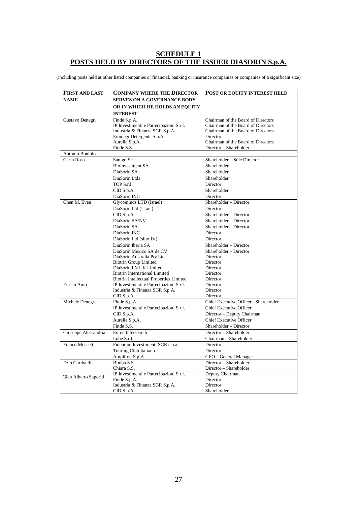# **SCHEDULE 1 POSTS HELD BY DIRECTORS OF THE ISSUER DIASORIN S.p.A.**

(including posts held at other listed companies or financial, banking or insurance companies or companies of a significant size)

| <b>FIRST AND LAST</b> | <b>COMPANY WHERE THE DIRECTOR</b>                                               | <b>POST OR EQUITY INTEREST HELD</b>   |
|-----------------------|---------------------------------------------------------------------------------|---------------------------------------|
| <b>NAME</b>           | <b>SERVES ON A GOVERNANCE BODY</b>                                              |                                       |
|                       | OR IN WHICH HE HOLDS AN EQUITY                                                  |                                       |
|                       | <b>INTEREST</b>                                                                 |                                       |
| Gustavo Denegri       | Finde S.p.A.                                                                    | Chairman of the Board of Directors    |
|                       | IP Investimenti e Partecipazioni S.r.l.                                         | Chairman of the Board of Directors    |
|                       | Industria & Finanza SGR S.p.A.                                                  | Chairman of the Board of Directors    |
|                       | Emmegi Detergents S.p.A.                                                        | Director                              |
|                       | Aurelia S.p.A.                                                                  | Chairman of the Board of Directors    |
|                       | Finde S.S.                                                                      | Director - Shareholder                |
| Antonio Boniolo       |                                                                                 |                                       |
| Carlo Rosa            | Sarago S.r.l.                                                                   | Shareholder - Sole Director           |
|                       | <b>BioInvestment SA</b>                                                         | Shareholder                           |
|                       | DiaSorin SA                                                                     | Shareholder                           |
|                       | DiaSorin Ltda                                                                   | Shareholder                           |
|                       | TOP S.r.l.                                                                      | Director                              |
|                       | CID S.p.A.                                                                      | Shareholder                           |
|                       | DiaSorin INC                                                                    | Director                              |
| Chen M. Even          | Glycominds LTD (Israel)                                                         | Shareholder - Director                |
|                       | DiaSorin Ltd (Israel)                                                           | Director                              |
|                       | CID S.p.A.                                                                      | Shareholder - Director                |
|                       | DiaSorin SA/NV                                                                  | Shareholder - Director                |
|                       | DiaSorin SA                                                                     | Shareholder - Director                |
|                       | DiaSorin INC                                                                    | Director                              |
|                       | DiaSorin Ltd (sino JV)                                                          | Director                              |
|                       | DiaSorin Iberia SA                                                              | Shareholder - Director                |
|                       | DiaSorin Mexico SA de CV                                                        | Shareholder - Director                |
|                       | DiaSorin Australia Pty Ltd                                                      | Director                              |
|                       | <b>Biotrin Group Limited</b>                                                    | Director                              |
|                       | DiaSorin I.N.UK Limited                                                         | Director                              |
|                       | <b>Biotrin International Limited</b><br>Biotrin Intellectual Properties Limited | Director<br>Director                  |
| Enrico Amo            | IP Investimenti e Partecipazioni S.r.l.                                         | Director                              |
|                       | Industria & Finanza SGR S.p.A.                                                  | Director                              |
|                       | CDS.p.A.                                                                        | Director                              |
| Michele Denegri       | Finde S.p.A.                                                                    | Chief Executive Officer - Shareholder |
|                       | IP Investimenti e Partecipazioni S.r.l.                                         | <b>Chief Executive Officer</b>        |
|                       | CID S.p.A.                                                                      | Director - Deputy Chairman            |
|                       | Aurelia S.p.A.                                                                  | <b>Chief Executive Officer</b>        |
|                       | Finde S.S.                                                                      | Shareholder - Director                |
| Giuseppe Alessandria  | Euren Intersearch                                                               | Director - Shareholder                |
|                       | Lobe S.r.l.                                                                     | Chairman - Shareholder                |
| Franco Moscetti       | Fideuram Investimenti SGR s.p.a.                                                | <b>Director</b>                       |
|                       | Touring Club Italiano                                                           | Director                              |
|                       | Amplifon S.p.A.                                                                 | CEO - General Manager                 |
| Ezio Garibaldi        | Bimba S.S.                                                                      | Director - Shareholder                |
|                       | Chiara S.S.                                                                     | Director - Shareholder                |
| Gian Alberto Saporiti | IP Investimenti e Partecipazioni S.r.l.                                         | Deputy Chairman                       |
|                       | Finde S.p.A.                                                                    | Director                              |
|                       | Industria & Finanza SGR S.p.A.                                                  | Director                              |
|                       | CID S.p.A.                                                                      | Shareholder                           |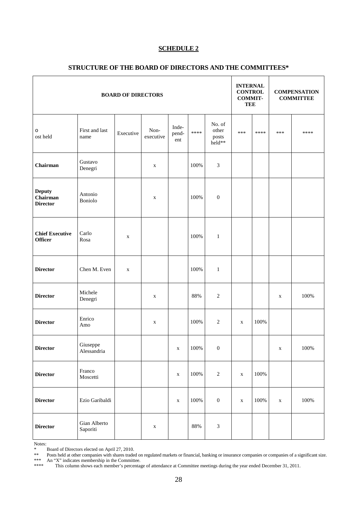#### **SCHEDULE 2**

| <b>BOARD OF DIRECTORS</b>                    |                          |             |                   |                       | <b>INTERNAL</b><br><b>CONTROL</b><br><b>COMMIT-</b><br><b>TEE</b> |                                    | <b>COMPENSATION</b><br><b>COMMITTEE</b> |         |             |         |
|----------------------------------------------|--------------------------|-------------|-------------------|-----------------------|-------------------------------------------------------------------|------------------------------------|-----------------------------------------|---------|-------------|---------|
| O<br>ost held                                | First and last<br>name   | Executive   | Non-<br>executive | Inde-<br>pend-<br>ent | ****                                                              | No. of<br>other<br>posts<br>held** | ***                                     | ****    | ***         | ****    |
| Chairman                                     | Gustavo<br>Denegri       |             | $\mathbf X$       |                       | 100%                                                              | $\mathfrak{Z}$                     |                                         |         |             |         |
| <b>Deputy</b><br>Chairman<br><b>Director</b> | Antonio<br>Boniolo       |             | $\mathbf X$       |                       | 100%                                                              | $\boldsymbol{0}$                   |                                         |         |             |         |
| <b>Chief Executive</b><br><b>Officer</b>     | Carlo<br>Rosa            | X           |                   |                       | 100%                                                              | $\mathbf{1}$                       |                                         |         |             |         |
| <b>Director</b>                              | Chen M. Even             | $\mathbf X$ |                   |                       | 100%                                                              | $\mathbf{1}$                       |                                         |         |             |         |
| <b>Director</b>                              | Michele<br>Denegri       |             | $\mathbf X$       |                       | 88%                                                               | $\overline{2}$                     |                                         |         | $\mathbf X$ | 100%    |
| <b>Director</b>                              | Enrico<br>Amo            |             | $\mathbf X$       |                       | 100%                                                              | $\sqrt{2}$                         | $\mathbf X$                             | 100%    |             |         |
| <b>Director</b>                              | Giuseppe<br>Alessandria  |             |                   | $\mathbf X$           | 100%                                                              | $\boldsymbol{0}$                   |                                         |         | $\mathbf X$ | $100\%$ |
| <b>Director</b>                              | Franco<br>Moscetti       |             |                   | $\mathbf X$           | 100%                                                              | $\sqrt{2}$                         | $\mathbf X$                             | $100\%$ |             |         |
| <b>Director</b>                              | Ezio Garibaldi           |             |                   | $\mathbf X$           | 100%                                                              | $\boldsymbol{0}$                   | $\mathbf X$                             | 100%    | $\mathbf X$ | $100\%$ |
| <b>Director</b>                              | Gian Alberto<br>Saporiti |             | $\mathbf X$       |                       | 88%                                                               | $\ensuremath{\mathfrak{Z}}$        |                                         |         |             |         |

#### **STRUCTURE OF THE BOARD OF DIRECTORS AND THE COMMITTEES\***

Notes:

\*\* Posts held at other companies with shares traded on regulated markets or financial, banking or insurance companies or companies of a significant size.

\*\*\* An "X" indicates membership in the Committee.

<sup>\*</sup> Board of Directors elected on April 27, 2010.

<sup>\*\*\*\*</sup> This column shows each member's percentage of attendance at Committee meetings during the year ended December 31, 2011.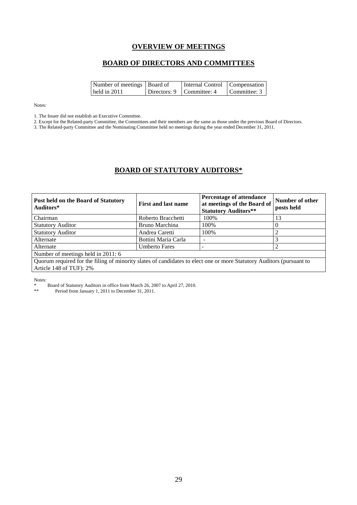# **OVERVIEW OF MEETINGS**

#### **BOARD OF DIRECTORS AND COMMITTEES**

| Number of meetings Board of | Internal Control   Compensation |              |
|-----------------------------|---------------------------------|--------------|
| held in $2011$              | Directors: 9   Committee: 4     | Committee: 3 |

Notes:

1. The Issuer did not establish an Executive Committee.

2. Except for the Related-party Committee, the Committees and their members are the same as those under the previous Board of Directors.

3. The Related-party Committee and the Nominating Committee held no meetings during the year ended December 31, 2011.

# **BOARD OF STATUTORY AUDITORS\***

| Post held on the Board of Statutory<br>Auditors*                                                                     | <b>First and last name</b> | <b>Percentage of attendance</b><br>at meetings of the Board of<br><b>Statutory Auditors**</b> | Number of other<br>posts held |  |
|----------------------------------------------------------------------------------------------------------------------|----------------------------|-----------------------------------------------------------------------------------------------|-------------------------------|--|
| Chairman                                                                                                             | Roberto Bracchetti         | 100%                                                                                          | 13                            |  |
| <b>Statutory Auditor</b>                                                                                             | Bruno Marchina             | 100%                                                                                          | $\theta$                      |  |
| <b>Statutory Auditor</b>                                                                                             | Andrea Caretti             | 100%                                                                                          |                               |  |
| Alternate                                                                                                            | Bottini Maria Carla        |                                                                                               | 3                             |  |
| Alternate                                                                                                            | <b>Umberto Fares</b>       |                                                                                               | 2                             |  |
| Number of meetings held in 2011: 6                                                                                   |                            |                                                                                               |                               |  |
| Quorum required for the filing of minority slates of candidates to elect one or more Statutory Auditors (pursuant to |                            |                                                                                               |                               |  |
| Article 148 of TUF): 2%                                                                                              |                            |                                                                                               |                               |  |

Notes:

\* Board of Statutory Auditors in office from March 26, 2007 to April 27, 2010.

Period from January 1, 2011 to December 31, 2011.